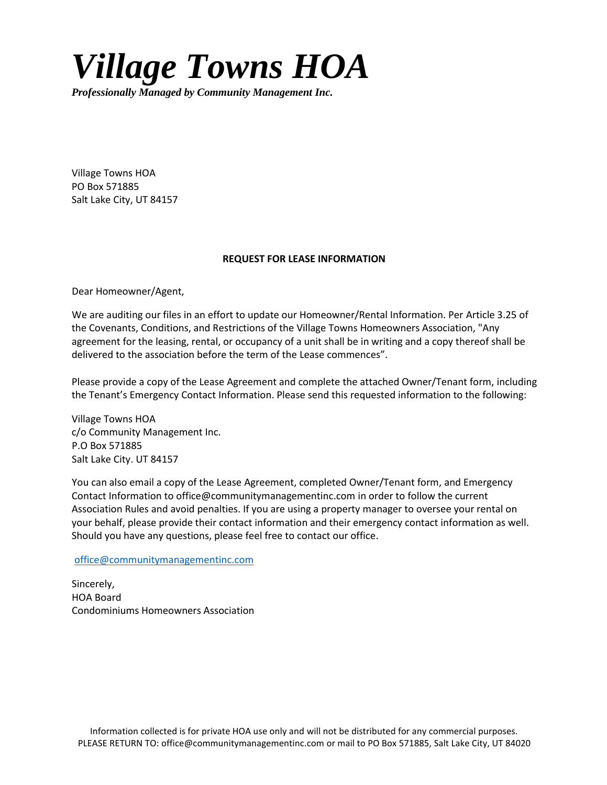## *Village Towns HOA*

*Professionally Managed by Community Management Inc.*

Village Towns HOA PO Box 571885 Salt Lake City, UT 84157

## **REQUEST FOR LEASE INFORMATION**

Dear Homeowner/Agent,

We are auditing our files in an effort to update our Homeowner/Rental Information. Per Article 3.25 of the Covenants, Conditions, and Restrictions of the Village Towns Homeowners Association, "Any agreement for the leasing, rental, or occupancy of a unit shall be in writing and a copy thereof shall be delivered to the association before the term of the Lease commences".

Please provide a copy of the Lease Agreement and complete the attached Owner/Tenant form, including the Tenant's Emergency Contact Information. Please send this requested information to the following:

Village Towns HOA c/o Community Management Inc. P.O Box 571885 Salt Lake City. UT 84157

You can also email a copy of the Lease Agreement, completed Owner/Tenant form, and Emergency Contact Information to office@communitymanagementinc.com in order to follow the current Association Rules and avoid penalties. If you are using a property manager to oversee your rental on your behalf, please provide their contact information and their emergency contact information as well. Should you have any questions, please feel free to contact our office.

[office@communitymanagementinc.com](mailto:office@communitymanagementinc.com)

Sincerely, HOA Board Condominiums Homeowners Association